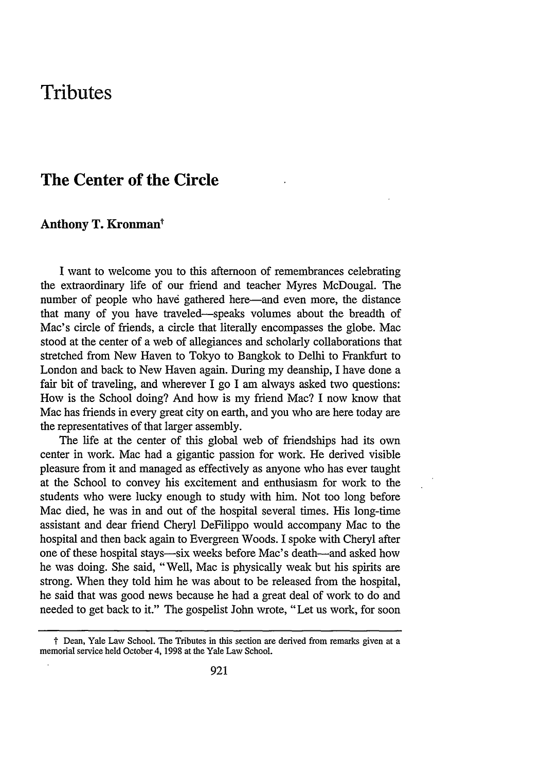## **Tributes**

## **The Center of the Circle**

## **Anthony T. Kronmant**

I want to welcome you to this afternoon of remembrances celebrating the extraordinary life of our friend and teacher Myres McDougal. The number of people who have gathered here—and even more, the distance that many of you have traveled-speaks volumes about the breadth of Mac's circle of friends, a circle that literally encompasses the globe. Mac stood at the center of a web of allegiances and scholarly collaborations that stretched from New Haven to Tokyo to Bangkok to Delhi to Frankfurt to London and back to New Haven again. During my deanship, I have done a fair bit of traveling, and wherever I go I am always asked two questions: How is the School doing? And how is my friend Mac? I now know that Mac has friends in every great city on earth, and you who are here today are the representatives of that larger assembly.

The life at the center of this global web of friendships had its own center in work. Mac had a gigantic passion for work. He derived visible pleasure from it and managed as effectively as anyone who has ever taught at the School to convey his excitement and enthusiasm for work to the students who were lucky enough to study with him. Not too long before Mac died, he was in and out of the hospital several times. His long-time assistant and dear friend Cheryl DeFilippo would accompany Mac to the hospital and then back again to Evergreen Woods. I spoke with Cheryl after one of these hospital stays—six weeks before Mac's death—and asked how he was doing. She said, "Well, Mac is physically weak but his spirits are strong. When they told him he was about to be released from the hospital, he said that was good news because he had a great deal of work to do and needed to get back to it." The gospelist John wrote, "Let us work, for soon

t Dean, Yale Law School. The Tributes in this section are derived from remarks given at a memorial service held October 4, 1998 at the Yale Law School.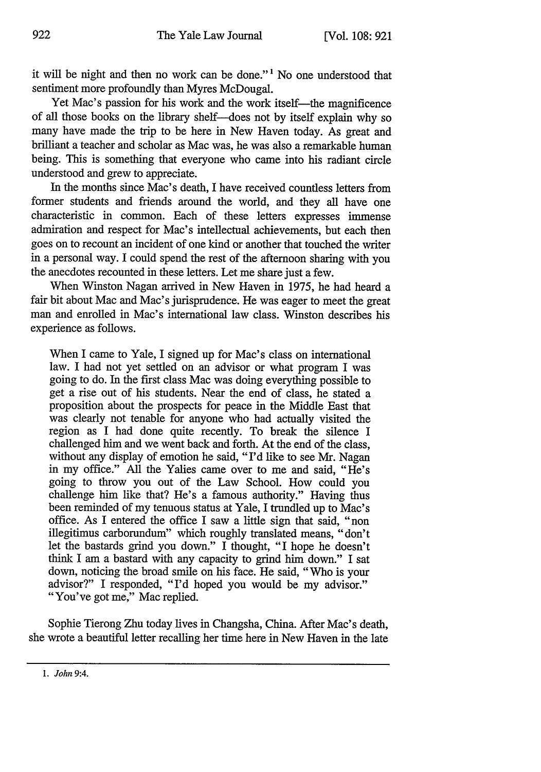it will be night and then no work can be done."' No one understood that sentiment more profoundly than Myres McDougal.

Yet Mac's passion for his work and the work itself-the magnificence of all those books on the library shelf-does not by itself explain why so many have made the trip to be here in New Haven today. As great and brilliant a teacher and scholar as Mac was, he was also a remarkable human being. This is something that everyone who came into his radiant circle understood and grew to appreciate.

In the months since Mac's death, I have received countless letters from former students and friends around the world, and they all have one characteristic in common. Each of these letters expresses immense admiration and respect for Mac's intellectual achievements, but each then goes on to recount an incident of one kind or another that touched the writer in a personal way. I could spend the rest of the afternoon sharing with you the anecdotes recounted in these letters. Let me share just a few.

When Winston Nagan arrived in New Haven in 1975, he had heard a fair bit about Mac and Mac's jurisprudence. He was eager to meet the great man and enrolled in Mac's international law class. Winston describes his experience as follows.

When I came to Yale, I signed up for Mac's class on international law. I had not yet settled on an advisor or what program I was going to do. In the first class Mac was doing everything possible to get a rise out of his students. Near the end of class, he stated a proposition about the prospects for peace in the Middle East that was clearly not tenable for anyone who had actually visited the region as I had done quite recently. To break the silence I challenged him and we went back and forth. At the end of the class, without any display of emotion he said, "I'd like to see Mr. Nagan in my office." All the Yalies came over to me and said, "He's going to throw you out of the Law School. How could you challenge him like that? He's a famous authority." Having thus been reminded of my tenuous status at Yale, I trundled up to Mac's office. As I entered the office I saw a little sign that said, "non illegitimus carborundum" which roughly translated means, "don't let the bastards grind you down." I thought, "I hope he doesn't think I am a bastard with any capacity to grind him down." I sat down, noticing the broad smile on his face. He said, "Who is your advisor?" I responded, "I'd hoped you would be my advisor." "You've got me," Mac replied.

Sophie Tierong Zhu today lives in Changsha, China. After Mac's death, she wrote a beautiful letter recalling her time here in New Haven in the late

*<sup>1.</sup> John 9:4.*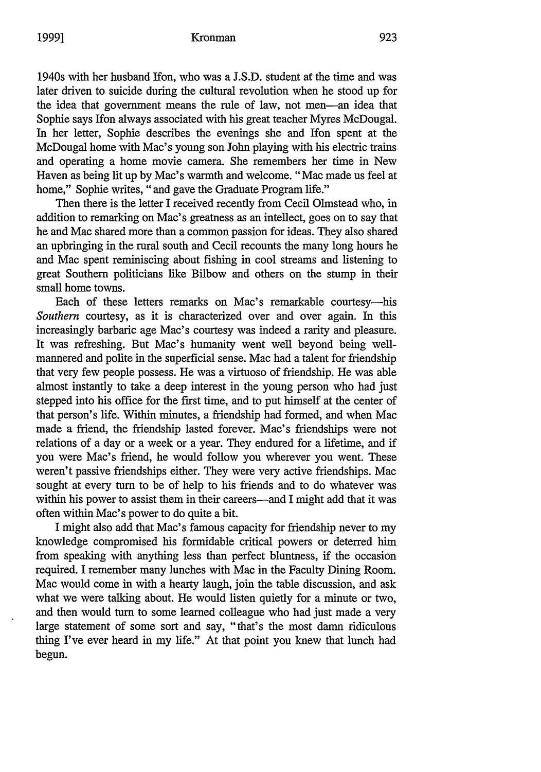## Kronman

1940s with her husband Ifon, who was a J.S.D. student at the time and was later driven to suicide during the cultural revolution when he stood up for the idea that government means the rule of law, not men-an idea that Sophie says Ifon always associated with his great teacher Myres McDougal. In her letter, Sophie describes the evenings she and Ifon spent at the McDougal home with Mac's young son John playing with his electric trains and operating a home movie camera. She remembers her time in New Haven as being lit up by Mac's warmth and welcome. "Mac made us feel at home," Sophie writes, "and gave the Graduate Program life."

Then there is the letter I received recently from Cecil Olmstead who, in addition to remarking on Mac's greatness as an intellect, goes on to say that he and Mac shared more than a common passion for ideas. They also shared an upbringing in the rural south and Cecil recounts the many long hours he and Mac spent reminiscing about fishing in cool streams and listening to great Southern politicians like Bilbow and others on the stump in their small home towns.

Each of these letters remarks on Mac's remarkable courtesy—his *Southern* courtesy, as it is characterized over and over again. In this increasingly barbaric age Mac's courtesy was indeed a rarity and pleasure. It was refreshing. But Mac's humanity went well beyond being wellmannered and polite in the superficial sense. Mac had a talent for friendship that very few people possess. He was a virtuoso of friendship. He was able almost instantly to take a deep interest in the young person who had just stepped into his office for the first time, and to put himself at the center of that person's life. Within minutes, a friendship had formed, and when Mac made a friend, the friendship lasted forever. Mac's friendships were not relations of a day or a week or a year. They endured for a lifetime, and if you were Mac's friend, he would follow you wherever you went. These weren't passive friendships either. They were very active friendships. Mac sought at every turn to be of help to his friends and to do whatever was within his power to assist them in their careers—and I might add that it was often within Mac's power to do quite a bit.

I might also add that Mac's famous capacity for friendship never to my knowledge compromised his formidable critical powers or deterred him from speaking with anything less than perfect bluntness, if the occasion required. I remember many lunches with Mac in the Faculty Dining Room. Mac would come in with a hearty laugh, join the table discussion, and ask what we were talking about. He would listen quietly for a minute or two, and then would turn to some learned colleague who had just made a very large statement of some sort and say, "that's the most damn ridiculous thing I've ever heard in my life." At that point you knew that lunch had begun.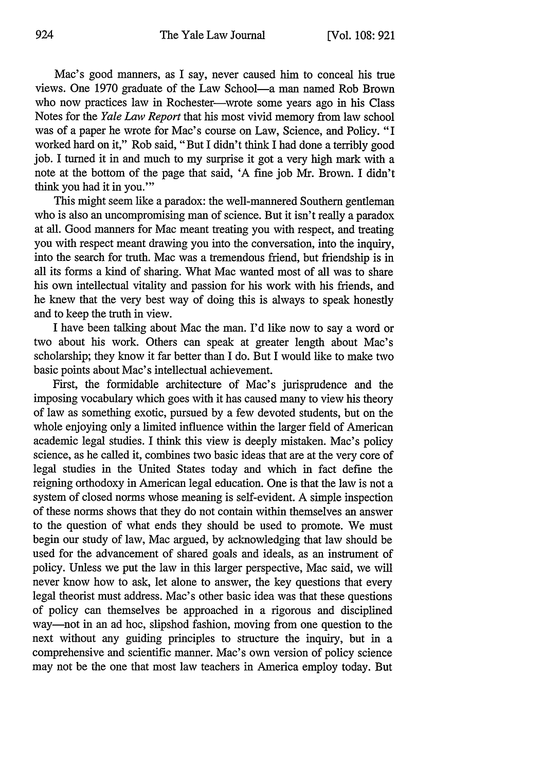Mac's good manners, as I say, never caused him to conceal his true views. One 1970 graduate of the Law School-a man named Rob Brown who now practices law in Rochester--wrote some years ago in his Class Notes for the *Yale Law Report* that his most vivid memory from law school was of a paper he wrote for Mac's course on Law, Science, and Policy. "I worked hard on it," Rob said, "But I didn't think I had done a terribly good job. I turned it in and much to my surprise it got a very high mark with a note at the bottom of the page that said, 'A fine job Mr. Brown. I didn't think you had it in you."'

This might seem like a paradox: the well-mannered Southern gentleman who is also an uncompromising man of science. But it isn't really a paradox at all. Good manners for Mac meant treating you with respect, and treating you with respect meant drawing you into the conversation, into the inquiry, into the search for truth. Mac was a tremendous friend, but friendship is in all its forms a kind of sharing. What Mac wanted most of all was to share his own intellectual vitality and passion for his work with his friends, and he knew that the very best way of doing this is always to speak honestly and to keep the truth in view.

I have been talking about Mac the man. I'd like now to say a word or two about his work. Others can speak at greater length about Mac's scholarship; they know it far better than I do. But I would like to make two basic points about Mac's intellectual achievement.

First, the formidable architecture of Mac's jurisprudence and the imposing vocabulary which goes with it has caused many to view his theory of law as something exotic, pursued by a few devoted students, but on the whole enjoying only a limited influence within the larger field of American academic legal studies. I think this view is deeply mistaken. Mac's policy science, as he called it, combines two basic ideas that are at the very core of legal studies in the United States today and which in fact define the reigning orthodoxy in American legal education. One is that the law is not a system of closed norms whose meaning is self-evident. A simple inspection of these norms shows that they do not contain within themselves an answer to the question of what ends they should be used to promote. We must begin our study of law, Mac argued, by acknowledging that law should be used for the advancement of shared goals and ideals, as an instrument of policy. Unless we put the law in this larger perspective, Mac said, we will never know how to ask, let alone to answer, the key questions that every legal theorist must address. Mac's other basic idea was that these questions of policy can themselves be approached in a rigorous and disciplined way-not in an ad hoc, slipshod fashion, moving from one question to the next without any guiding principles to structure the inquiry, but in a comprehensive and scientific manner. Mac's own version of policy science may not be the one that most law teachers in America employ today. But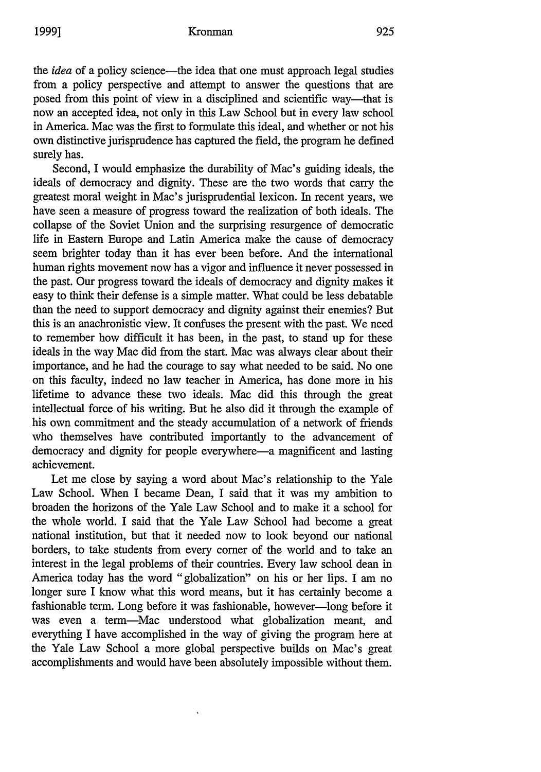the *idea* of a policy science-the idea that one must approach legal studies from a policy perspective and attempt to answer the questions that are posed from this point of view in a disciplined and scientific way-that is now an accepted idea, not only in this Law School but in every law school in America. Mac was the first to formulate this ideal, and whether or not his own distinctive jurisprudence has captured the field, the program he defined surely has.

Second, I would emphasize the durability of Mac's guiding ideals, the ideals of democracy and dignity. These are the two words that carry the greatest moral weight in Mac's jurisprudential lexicon. In recent years, we have seen a measure of progress toward the realization of both ideals. The collapse of the Soviet Union and the surprising resurgence of democratic life in Eastern Europe and Latin America make the cause of democracy seem brighter today than it has ever been before. And the international human rights movement now has a vigor and influence it never possessed in the past. Our progress toward the ideals of democracy and dignity makes it easy to think their defense is a simple matter. What could be less debatable than the need to support democracy and dignity against their enemies? But this is an anachronistic view. It confuses the present with the past. We need to remember how difficult it has been, in the past, to stand up for these ideals in the way Mac did from the start. Mac was always clear about their importance, and he had the courage to say what needed to be said. No one on this faculty, indeed no law teacher in America, has done more in his lifetime to advance these two ideals. Mac did this through the great intellectual force of his writing. But he also did it through the example of his own commitment and the steady accumulation of a network of friends who themselves have contributed importantly to the advancement of democracy and dignity for people everywhere-a magnificent and lasting achievement.

Let me close by saying a word about Mac's relationship to the Yale Law School. When I became Dean, I said that it was my ambition to broaden the horizons of the Yale Law School and to make it a school for the whole world. I said that the Yale Law School had become a great national institution, but that it needed now to look beyond our national borders, to take students from every corner of the world and to take an interest in the legal problems of their countries. Every law school dean in America today has the word "globalization" on his or her lips. I am no longer sure I know what this word means, but it has certainly become a fashionable term. Long before it was fashionable, however-long before it was even a term-Mac understood what globalization meant, and everything I have accomplished in the way of giving the program here at the Yale Law School a more global perspective builds on Mac's great accomplishments and would have been absolutely impossible without them.